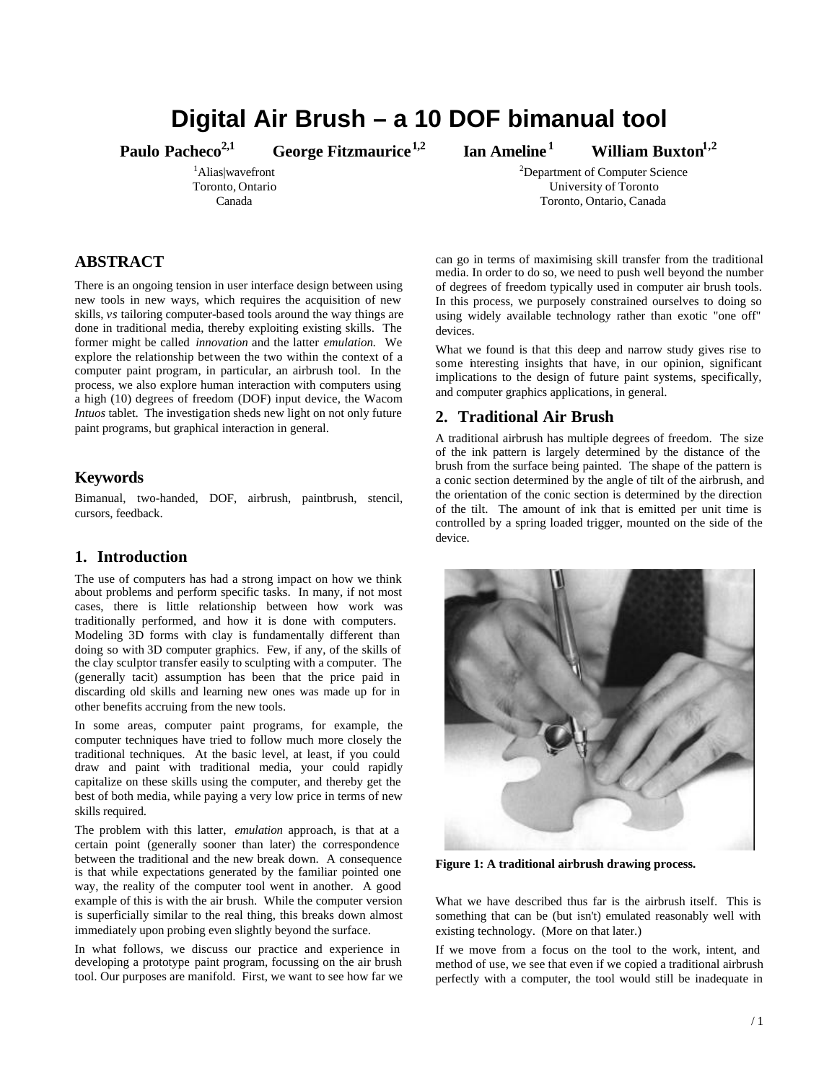# **Digital Air Brush – a 10 DOF bimanual tool**

**Paulo Pacheco2,1 George Fitzmaurice1,2 Ian Ameline <sup>1</sup>**

<sup>1</sup>Alias|wavefront Toronto, Ontario Canada

### **ABSTRACT**

There is an ongoing tension in user interface design between using new tools in new ways, which requires the acquisition of new skills, *vs* tailoring computer-based tools around the way things are done in traditional media, thereby exploiting existing skills. The former might be called *innovation* and the latter *emulation.* We explore the relationship between the two within the context of a computer paint program, in particular, an airbrush tool. In the process, we also explore human interaction with computers using a high (10) degrees of freedom (DOF) input device, the Wacom *Intuos* tablet. The investigation sheds new light on not only future paint programs, but graphical interaction in general.

#### **Keywords**

Bimanual, two-handed, DOF, airbrush, paintbrush, stencil, cursors, feedback.

### **1. Introduction**

The use of computers has had a strong impact on how we think about problems and perform specific tasks. In many, if not most cases, there is little relationship between how work was traditionally performed, and how it is done with computers. Modeling 3D forms with clay is fundamentally different than doing so with 3D computer graphics. Few, if any, of the skills of the clay sculptor transfer easily to sculpting with a computer. The (generally tacit) assumption has been that the price paid in discarding old skills and learning new ones was made up for in other benefits accruing from the new tools.

In some areas, computer paint programs, for example, the computer techniques have tried to follow much more closely the traditional techniques. At the basic level, at least, if you could draw and paint with traditional media, your could rapidly capitalize on these skills using the computer, and thereby get the best of both media, while paying a very low price in terms of new skills required.

The problem with this latter, *emulation* approach, is that at a certain point (generally sooner than later) the correspondence between the traditional and the new break down. A consequence is that while expectations generated by the familiar pointed one way, the reality of the computer tool went in another. A good example of this is with the air brush. While the computer version is superficially similar to the real thing, this breaks down almost immediately upon probing even slightly beyond the surface.

In what follows, we discuss our practice and experience in developing a prototype paint program, focussing on the air brush tool. Our purposes are manifold. First, we want to see how far we

 **William Buxton1,2**

<sup>2</sup>Department of Computer Science University of Toronto Toronto, Ontario, Canada

can go in terms of maximising skill transfer from the traditional media. In order to do so, we need to push well beyond the number of degrees of freedom typically used in computer air brush tools. In this process, we purposely constrained ourselves to doing so using widely available technology rather than exotic "one off" devices.

What we found is that this deep and narrow study gives rise to some interesting insights that have, in our opinion, significant implications to the design of future paint systems, specifically, and computer graphics applications, in general.

#### **2. Traditional Air Brush**

A traditional airbrush has multiple degrees of freedom. The size of the ink pattern is largely determined by the distance of the brush from the surface being painted. The shape of the pattern is a conic section determined by the angle of tilt of the airbrush, and the orientation of the conic section is determined by the direction of the tilt. The amount of ink that is emitted per unit time is controlled by a spring loaded trigger, mounted on the side of the device.



**Figure 1: A traditional airbrush drawing process.**

What we have described thus far is the airbrush itself. This is something that can be (but isn't) emulated reasonably well with existing technology. (More on that later.)

If we move from a focus on the tool to the work, intent, and method of use, we see that even if we copied a traditional airbrush perfectly with a computer, the tool would still be inadequate in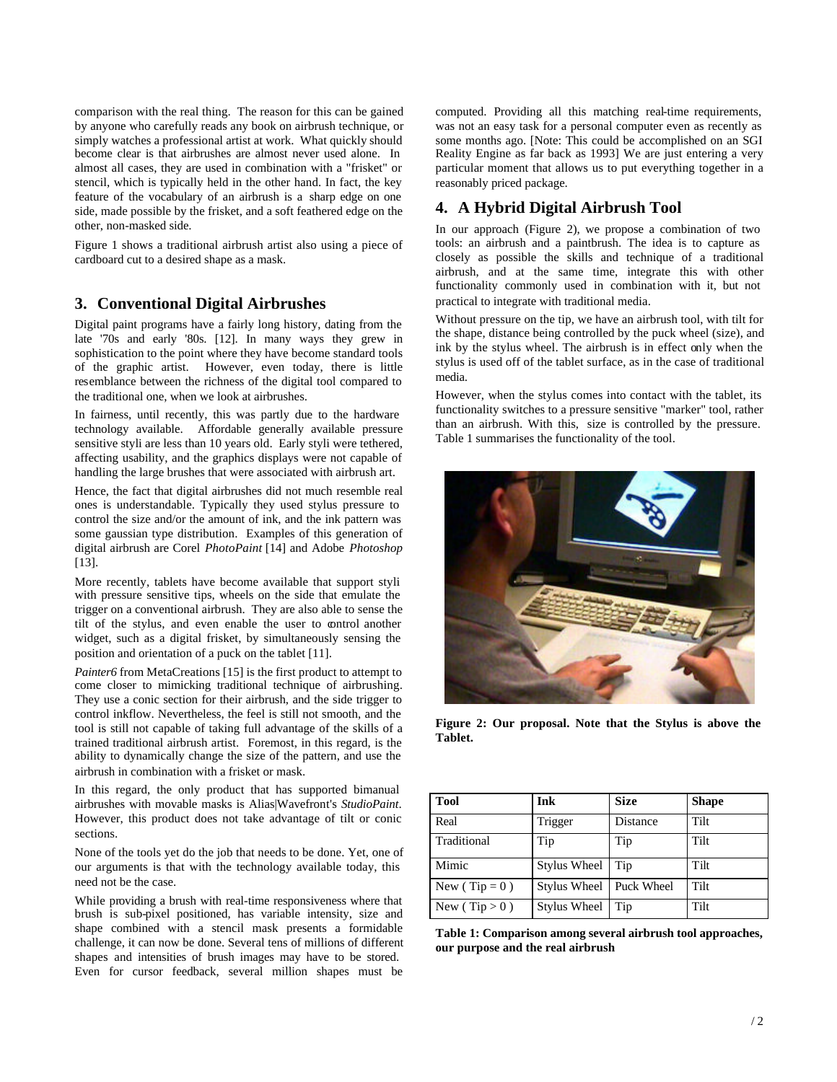comparison with the real thing. The reason for this can be gained by anyone who carefully reads any book on airbrush technique, or simply watches a professional artist at work. What quickly should become clear is that airbrushes are almost never used alone. In almost all cases, they are used in combination with a "frisket" or stencil, which is typically held in the other hand. In fact, the key feature of the vocabulary of an airbrush is a sharp edge on one side, made possible by the frisket, and a soft feathered edge on the other, non-masked side.

Figure 1 shows a traditional airbrush artist also using a piece of cardboard cut to a desired shape as a mask.

#### **3. Conventional Digital Airbrushes**

Digital paint programs have a fairly long history, dating from the late '70s and early '80s. [12]. In many ways they grew in sophistication to the point where they have become standard tools of the graphic artist. However, even today, there is little resemblance between the richness of the digital tool compared to the traditional one, when we look at airbrushes.

In fairness, until recently, this was partly due to the hardware technology available. Affordable generally available pressure sensitive styli are less than 10 years old. Early styli were tethered, affecting usability, and the graphics displays were not capable of handling the large brushes that were associated with airbrush art.

Hence, the fact that digital airbrushes did not much resemble real ones is understandable. Typically they used stylus pressure to control the size and/or the amount of ink, and the ink pattern was some gaussian type distribution. Examples of this generation of digital airbrush are Corel *PhotoPaint* [14] and Adobe *Photoshop* [13].

More recently, tablets have become available that support styli with pressure sensitive tips, wheels on the side that emulate the trigger on a conventional airbrush. They are also able to sense the tilt of the stylus, and even enable the user to control another widget, such as a digital frisket, by simultaneously sensing the position and orientation of a puck on the tablet [11].

*Painter6* from MetaCreations [15] is the first product to attempt to come closer to mimicking traditional technique of airbrushing. They use a conic section for their airbrush, and the side trigger to control inkflow. Nevertheless, the feel is still not smooth, and the tool is still not capable of taking full advantage of the skills of a trained traditional airbrush artist. Foremost, in this regard, is the ability to dynamically change the size of the pattern, and use the airbrush in combination with a frisket or mask.

In this regard, the only product that has supported bimanual airbrushes with movable masks is Alias|Wavefront's *StudioPaint*. However, this product does not take advantage of tilt or conic sections.

None of the tools yet do the job that needs to be done. Yet, one of our arguments is that with the technology available today, this need not be the case.

While providing a brush with real-time responsiveness where that brush is sub-pixel positioned, has variable intensity, size and shape combined with a stencil mask presents a formidable challenge, it can now be done. Several tens of millions of different shapes and intensities of brush images may have to be stored. Even for cursor feedback, several million shapes must be

computed. Providing all this matching real-time requirements, was not an easy task for a personal computer even as recently as some months ago. [Note: This could be accomplished on an SGI Reality Engine as far back as 1993] We are just entering a very particular moment that allows us to put everything together in a reasonably priced package.

#### **4. A Hybrid Digital Airbrush Tool**

In our approach (Figure 2), we propose a combination of two tools: an airbrush and a paintbrush. The idea is to capture as closely as possible the skills and technique of a traditional airbrush, and at the same time, integrate this with other functionality commonly used in combination with it, but not practical to integrate with traditional media.

Without pressure on the tip, we have an airbrush tool, with tilt for the shape, distance being controlled by the puck wheel (size), and ink by the stylus wheel. The airbrush is in effect only when the stylus is used off of the tablet surface, as in the case of traditional media.

However, when the stylus comes into contact with the tablet, its functionality switches to a pressure sensitive "marker" tool, rather than an airbrush. With this, size is controlled by the pressure. Table 1 summarises the functionality of the tool.



**Figure 2: Our proposal. Note that the Stylus is above the Tablet.**

| <b>Tool</b>       | Ink                 | <b>Size</b> | <b>Shape</b> |
|-------------------|---------------------|-------------|--------------|
| Real              | Trigger             | Distance    | Tilt         |
| Traditional       | Tip                 | Tip         | Tilt         |
| Mimic             | Stylus Wheel        | Tip         | Tilt         |
| New ( $Tip = 0$ ) | Stylus Wheel        | Puck Wheel  | Tilt         |
| New (Tip $> 0$ )  | <b>Stylus Wheel</b> | Tip         | Tilt         |

**Table 1: Comparison among several airbrush tool approaches, our purpose and the real airbrush**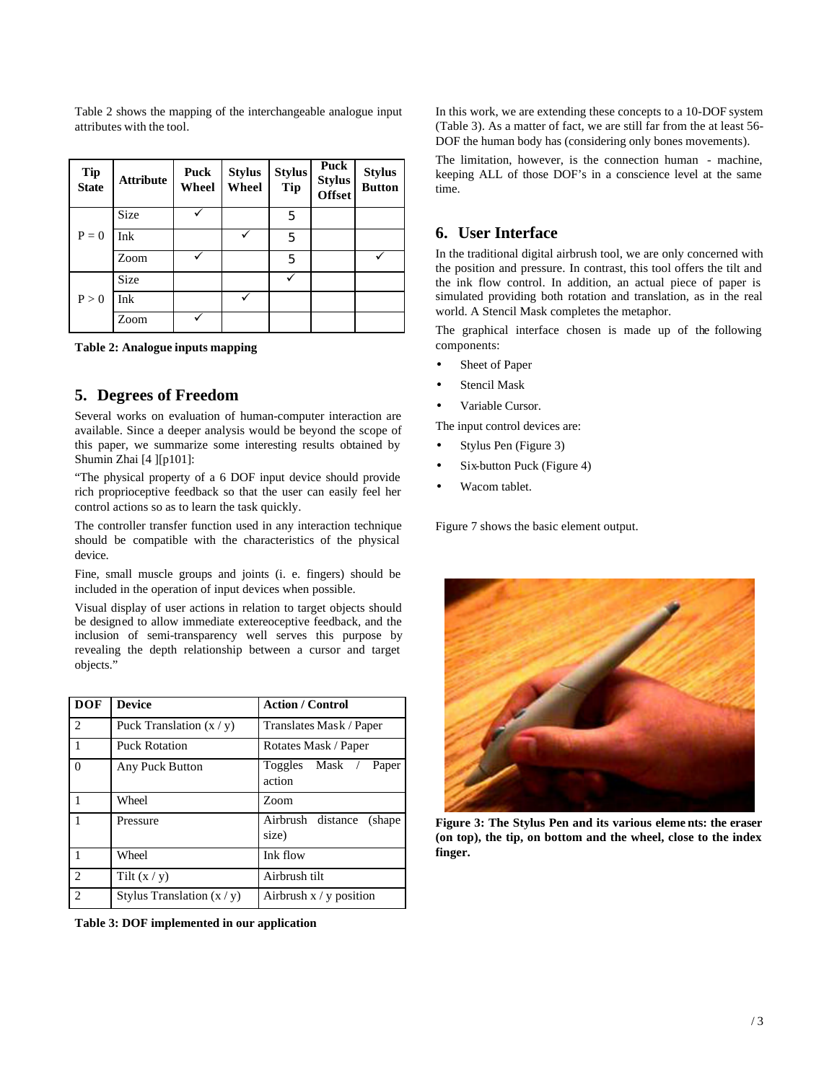Table 2 shows the mapping of the interchangeable analogue input attributes with the tool.

| <b>Tip</b><br><b>State</b> | <b>Attribute</b> | Puck<br>Wheel | <b>Stylus</b><br>Wheel | <b>Stylus</b><br><b>Tip</b> | Puck<br><b>Stylus</b><br><b>Offset</b> | <b>Stylus</b><br><b>Button</b> |
|----------------------------|------------------|---------------|------------------------|-----------------------------|----------------------------------------|--------------------------------|
| $P = 0$                    | <b>Size</b>      |               |                        | 5                           |                                        |                                |
|                            | Ink              |               |                        | 5                           |                                        |                                |
|                            | Zoom             |               |                        | 5                           |                                        |                                |
| P > 0                      | <b>Size</b>      |               |                        |                             |                                        |                                |
|                            | Ink              |               |                        |                             |                                        |                                |
|                            | Zoom             |               |                        |                             |                                        |                                |

**Table 2: Analogue inputs mapping**

#### **5. Degrees of Freedom**

Several works on evaluation of human-computer interaction are available. Since a deeper analysis would be beyond the scope of this paper, we summarize some interesting results obtained by Shumin Zhai [4 ][p101]:

"The physical property of a 6 DOF input device should provide rich proprioceptive feedback so that the user can easily feel her control actions so as to learn the task quickly.

The controller transfer function used in any interaction technique should be compatible with the characteristics of the physical device.

Fine, small muscle groups and joints (i. e. fingers) should be included in the operation of input devices when possible.

Visual display of user actions in relation to target objects should be designed to allow immediate extereoceptive feedback, and the inclusion of semi-transparency well serves this purpose by revealing the depth relationship between a cursor and target objects."

| <b>DOF</b>     | <b>Device</b>                | <b>Action / Control</b>               |  |
|----------------|------------------------------|---------------------------------------|--|
| 2              | Puck Translation $(x / y)$   | Translates Mask / Paper               |  |
| 1              | <b>Puck Rotation</b>         | Rotates Mask / Paper                  |  |
| $\Omega$       | Any Puck Button              | Mask / Paper<br>Toggles<br>action     |  |
|                | Wheel                        | Zoom                                  |  |
|                | Pressure                     | Airbrush distance<br>(shape)<br>size) |  |
|                | Wheel                        | Ink flow                              |  |
| $\mathfrak{D}$ | Tilt $(x / y)$               | Airbrush tilt                         |  |
| $\overline{c}$ | Stylus Translation $(x / y)$ | Airbrush $x / y$ position             |  |

**Table 3: DOF implemented in our application**

In this work, we are extending these concepts to a 10-DOF system (Table 3). As a matter of fact, we are still far from the at least 56- DOF the human body has (considering only bones movements).

The limitation, however, is the connection human - machine, keeping ALL of those DOF's in a conscience level at the same time.

### **6. User Interface**

In the traditional digital airbrush tool, we are only concerned with the position and pressure. In contrast, this tool offers the tilt and the ink flow control. In addition, an actual piece of paper is simulated providing both rotation and translation, as in the real world. A Stencil Mask completes the metaphor.

The graphical interface chosen is made up of the following components:

- Sheet of Paper
- Stencil Mask
- Variable Cursor.

The input control devices are:

- Stylus Pen (Figure 3)
- Six-button Puck (Figure 4)
- Wacom tablet.

Figure 7 shows the basic element output.



**Figure 3: The Stylus Pen and its various eleme nts: the eraser (on top), the tip, on bottom and the wheel, close to the index finger.**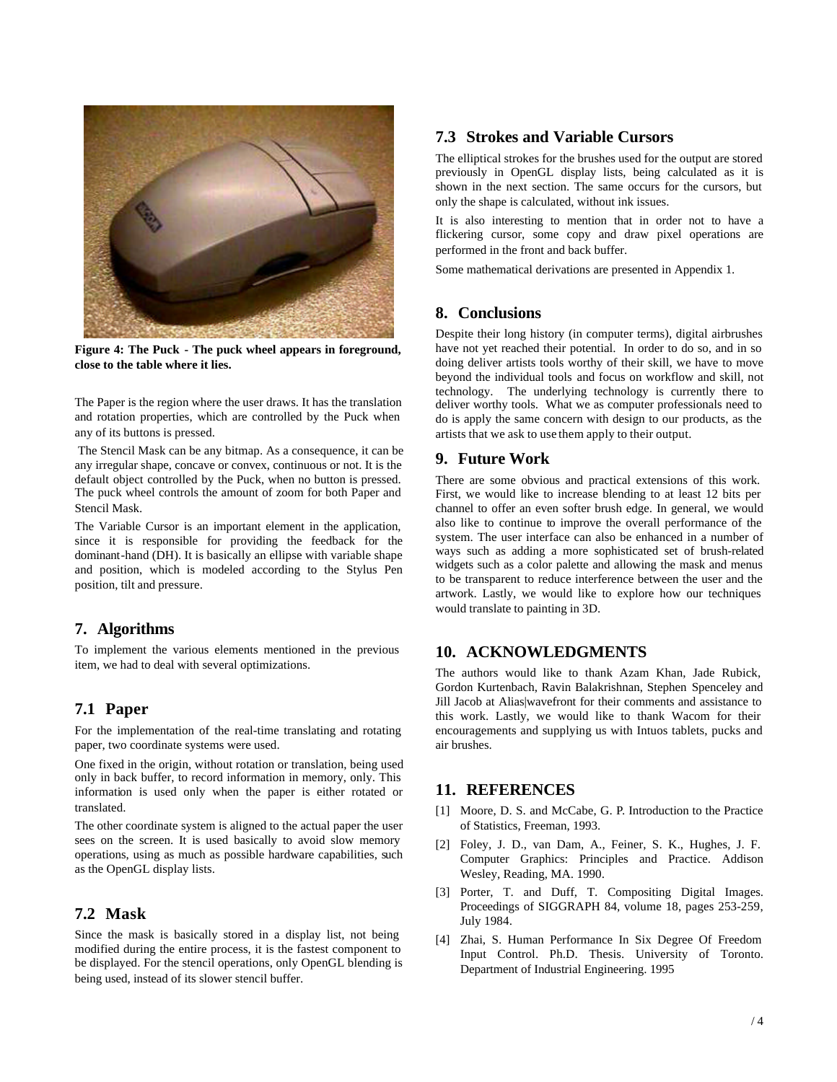

**Figure 4: The Puck - The puck wheel appears in foreground, close to the table where it lies.**

The Paper is the region where the user draws. It has the translation and rotation properties, which are controlled by the Puck when any of its buttons is pressed.

 The Stencil Mask can be any bitmap. As a consequence, it can be any irregular shape, concave or convex, continuous or not. It is the default object controlled by the Puck, when no button is pressed. The puck wheel controls the amount of zoom for both Paper and Stencil Mask.

The Variable Cursor is an important element in the application, since it is responsible for providing the feedback for the dominant-hand (DH). It is basically an ellipse with variable shape and position, which is modeled according to the Stylus Pen position, tilt and pressure.

#### **7. Algorithms**

To implement the various elements mentioned in the previous item, we had to deal with several optimizations.

#### **7.1 Paper**

For the implementation of the real-time translating and rotating paper, two coordinate systems were used.

One fixed in the origin, without rotation or translation, being used only in back buffer, to record information in memory, only. This information is used only when the paper is either rotated or translated.

The other coordinate system is aligned to the actual paper the user sees on the screen. It is used basically to avoid slow memory operations, using as much as possible hardware capabilities, such as the OpenGL display lists.

#### **7.2 Mask**

Since the mask is basically stored in a display list, not being modified during the entire process, it is the fastest component to be displayed. For the stencil operations, only OpenGL blending is being used, instead of its slower stencil buffer.

## **7.3 Strokes and Variable Cursors**

The elliptical strokes for the brushes used for the output are stored previously in OpenGL display lists, being calculated as it is shown in the next section. The same occurs for the cursors, but only the shape is calculated, without ink issues.

It is also interesting to mention that in order not to have a flickering cursor, some copy and draw pixel operations are performed in the front and back buffer.

Some mathematical derivations are presented in Appendix 1.

#### **8. Conclusions**

Despite their long history (in computer terms), digital airbrushes have not yet reached their potential. In order to do so, and in so doing deliver artists tools worthy of their skill, we have to move beyond the individual tools and focus on workflow and skill, not technology. The underlying technology is currently there to deliver worthy tools. What we as computer professionals need to do is apply the same concern with design to our products, as the artists that we ask to use them apply to their output.

#### **9. Future Work**

There are some obvious and practical extensions of this work. First, we would like to increase blending to at least 12 bits per channel to offer an even softer brush edge. In general, we would also like to continue to improve the overall performance of the system. The user interface can also be enhanced in a number of ways such as adding a more sophisticated set of brush-related widgets such as a color palette and allowing the mask and menus to be transparent to reduce interference between the user and the artwork. Lastly, we would like to explore how our techniques would translate to painting in 3D.

#### **10. ACKNOWLEDGMENTS**

The authors would like to thank Azam Khan, Jade Rubick, Gordon Kurtenbach, Ravin Balakrishnan, Stephen Spenceley and Jill Jacob at Alias|wavefront for their comments and assistance to this work. Lastly, we would like to thank Wacom for their encouragements and supplying us with Intuos tablets, pucks and air brushes.

#### **11. REFERENCES**

- [1] Moore, D. S. and McCabe, G. P. Introduction to the Practice of Statistics, Freeman, 1993.
- [2] Foley, J. D., van Dam, A., Feiner, S. K., Hughes, J. F. Computer Graphics: Principles and Practice. Addison Wesley, Reading, MA. 1990.
- [3] Porter, T. and Duff, T. Compositing Digital Images. Proceedings of SIGGRAPH 84, volume 18, pages 253-259, July 1984.
- [4] Zhai, S. Human Performance In Six Degree Of Freedom Input Control. Ph.D. Thesis. University of Toronto. Department of Industrial Engineering. 1995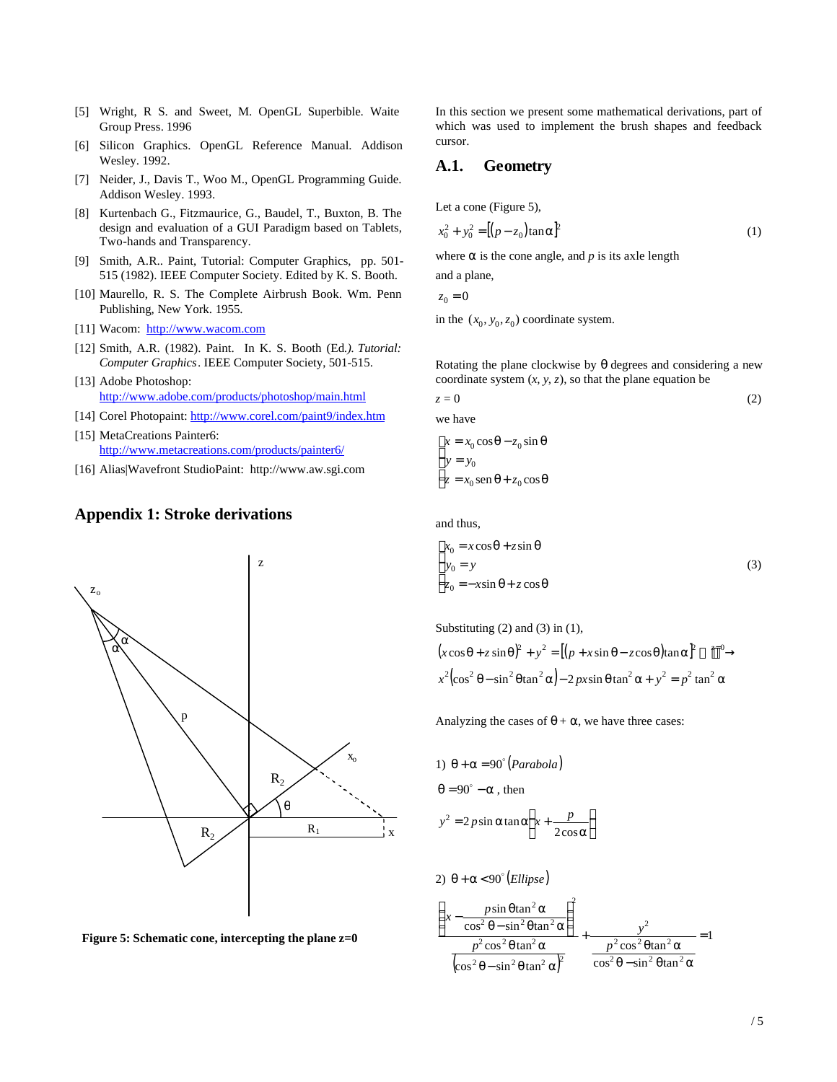- [5] Wright, R S. and Sweet, M. OpenGL Superbible. Waite Group Press. 1996
- [6] Silicon Graphics. OpenGL Reference Manual. Addison Wesley. 1992.
- [7] Neider, J., Davis T., Woo M., OpenGL Programming Guide. Addison Wesley. 1993.
- [8] Kurtenbach G., Fitzmaurice, G., Baudel, T., Buxton, B. The design and evaluation of a GUI Paradigm based on Tablets, Two-hands and Transparency.
- [9] Smith, A.R.. Paint, Tutorial: Computer Graphics, pp. 501- 515 (1982). IEEE Computer Society. Edited by K. S. Booth.
- [10] Maurello, R. S. The Complete Airbrush Book. Wm. Penn Publishing, New York. 1955.
- [11] Wacom: http://www.wacom.com
- [12] Smith, A.R. (1982). Paint. In K. S. Booth (Ed*.). Tutorial: Computer Graphics*. IEEE Computer Society, 501-515.
- [13] Adobe Photoshop: http://www.adobe.com/products/photoshop/main.html
- [14] Corel Photopaint: http://www.corel.com/paint9/index.htm
- [15] MetaCreations Painter6: http://www.metacreations.com/products/painter6/
- [16] Alias|Wavefront StudioPaint: http://www.aw.sgi.com

### **Appendix 1: Stroke derivations**



**Figure 5: Schematic cone, intercepting the plane z=0**

In this section we present some mathematical derivations, part of which was used to implement the brush shapes and feedback cursor.

#### **A.1. Geometry**

Let a cone (Figure 5),

$$
x_0^2 + y_0^2 = [(p - z_0)\tan\alpha]^2
$$
 (1)

where  $\alpha$  is the cone angle, and  $p$  is its axle length

and a plane,

$$
z_0 = 0
$$

in the  $(x_0, y_0, z_0)$  coordinate system.

Rotating the plane clockwise by  $\theta$  degrees and considering a new coordinate system  $(x, y, z)$ , so that the plane equation be

$$
z = 0
$$
 we have  

$$
x = x_0 \cos \theta - z_0 \sin \theta
$$
 (2)

$$
\begin{cases}\ny = y_0 \\
z = x_0 \operatorname{sen} \theta + z_0 \operatorname{cos} \theta\n\end{cases}
$$

and thus,

$$
\begin{cases}\n x_0 = x \cos \theta + z \sin \theta \\
 y_0 = y \\
 z_0 = -x \sin \theta + z \cos \theta\n\end{cases}
$$
\n(3)

Substituting (2) and (3) in (1),  
\n
$$
(x\cos\theta + z\sin\theta)^2 + y^2 = [(p + x\sin\theta - z\cos\theta)\tan\alpha]^2 \longrightarrow x^2(\cos^2\theta - \sin^2\theta\tan^2\alpha) - 2px\sin\theta\tan^2\alpha + y^2 = p^2\tan^2\alpha
$$

Analyzing the cases of  $\theta + \alpha$ , we have three cases:

1) 
$$
\theta + \alpha = 90^{\circ} (Parabola)
$$
  
\n $\theta = 90^{\circ} - \alpha$ , then  
\n $y^2 = 2p\sin \alpha \tan \alpha \left(x + \frac{p}{2\cos \alpha}\right)$ 

2)  $\theta$  +  $\alpha$  < 90° (*Ellipse*)

$$
\frac{\left(x - \frac{p \sin \theta \tan^2 \alpha}{\cos^2 \theta - \sin^2 \theta \tan^2 \alpha}\right)^2}{\frac{p^2 \cos^2 \theta \tan^2 \alpha}{\left(\cos^2 \theta - \sin^2 \theta \tan^2 \alpha\right)^2}} + \frac{y^2}{\frac{p^2 \cos^2 \theta \tan^2 \alpha}{\cos^2 \theta - \sin^2 \theta \tan^2 \alpha}} = 1
$$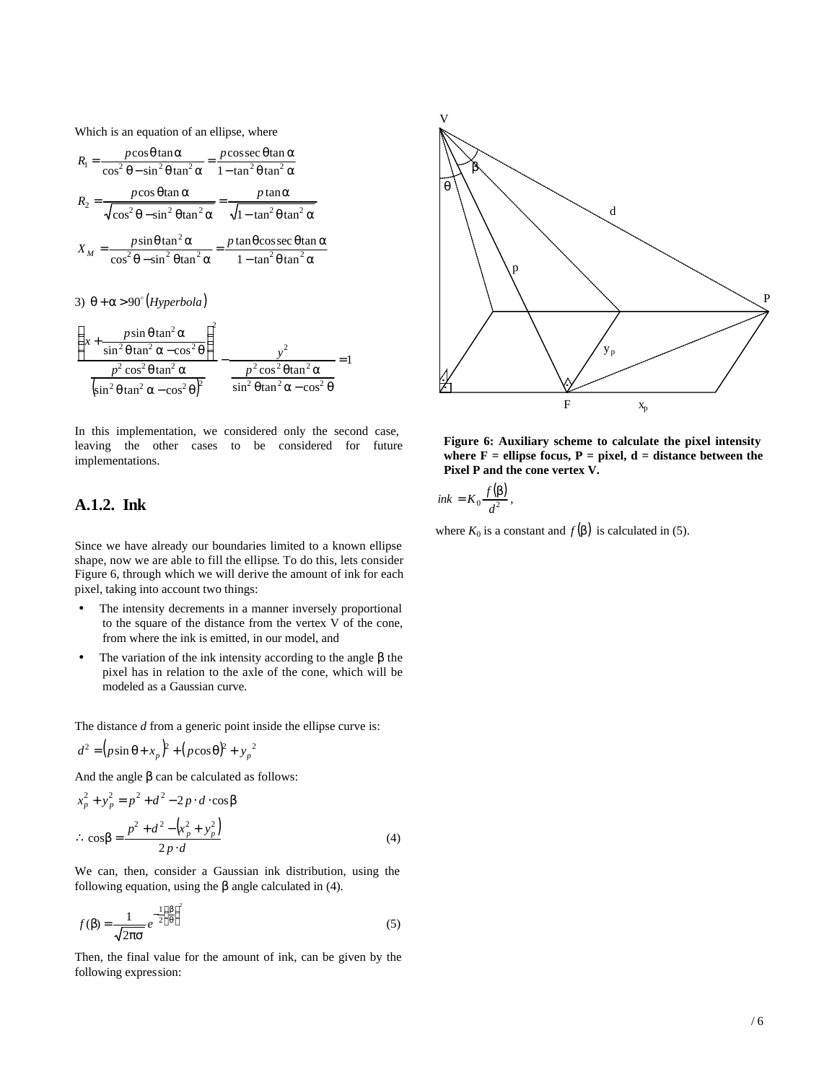Which is an equation of an ellipse, where

| $R_1 = \frac{p\cos\theta\tan\alpha}{\cos^2\theta - \sin^2\theta\tan^2\alpha} = \frac{p\cos\sec\theta\tan\alpha}{1 - \tan^2\theta\tan^2\alpha}$                               |                                                                                                                                                                                              |
|------------------------------------------------------------------------------------------------------------------------------------------------------------------------------|----------------------------------------------------------------------------------------------------------------------------------------------------------------------------------------------|
| $R_2 = \frac{p \cos \theta \tan \alpha}{\sqrt{\cos^2 \theta - \sin^2 \theta \tan^2 \alpha}} = \frac{p \tan \alpha}{\sqrt{1 - \tan^2 \theta \tan^2 \alpha}}$                  |                                                                                                                                                                                              |
| $X_M = \frac{p \sin \theta \tan^2 \alpha}{\cos^2 \theta - \sin^2 \theta \tan^2 \alpha} = \frac{p \tan \theta \cos \sec \theta \tan \alpha}{1 - \tan^2 \theta \tan^2 \alpha}$ |                                                                                                                                                                                              |
| 3) $\theta + \alpha > 90^{\circ}$ (Hyperbola)                                                                                                                                |                                                                                                                                                                                              |
| $\left(x+\frac{p\sin\theta\tan^2\alpha}{\sin^2\theta\tan^2\alpha-\cos^2\theta}\right)^2$                                                                                     |                                                                                                                                                                                              |
|                                                                                                                                                                              | $\frac{p^2 \cos^2 \theta \tan^2 \alpha}{\left(\sin^2 \theta \tan^2 \alpha - \cos^2 \theta\right)^2} - \frac{p^2 \cos^2 \theta \tan^2 \alpha}{\sin^2 \theta \tan^2 \alpha - \cos^2 \theta} =$ |

In this implementation, we considered only the second case, leaving the other cases to be considered for future implementations.

## **A.1.2. Ink**

Since we have already our boundaries limited to a known ellipse shape, now we are able to fill the ellipse. To do this, lets consider Figure 6, through which we will derive the amount of ink for each pixel, taking into account two things:

- The intensity decrements in a manner inversely proportional to the square of the distance from the vertex V of the cone, from where the ink is emitted, in our model, and
- The variation of the ink intensity according to the angle  $\beta$  the pixel has in relation to the axle of the cone, which will be modeled as a Gaussian curve.

The distance *d* from a generic point inside the ellipse curve is:

$$
d^{2} = (p\sin\theta + x_{p})^{2} + (p\cos\theta)^{2} + y_{p}^{2}
$$

And the angle  $\beta$  can be calculated as follows:

$$
x_p^2 + y_p^2 = p^2 + d^2 - 2p \cdot d \cdot \cos \beta
$$
  
\n
$$
\therefore \cos \beta = \frac{p^2 + d^2 - (x_p^2 + y_p^2)}{2p \cdot d}
$$
 (4)

We can, then, consider a Gaussian ink distribution, using the following equation, using the  $\beta$  angle calculated in (4).

$$
f(\beta) = \frac{1}{\sqrt{2\pi\sigma}} e^{-\frac{1}{2}\left(\frac{\beta}{\theta}\right)^2}
$$
 (5)

Then, the final value for the amount of ink, can be given by the following expression:



**Figure 6: Auxiliary scheme to calculate the pixel intensity**  where  $F =$  ellipse focus,  $P =$  pixel,  $d =$  distance between the **Pixel P and the cone vertex V.**

$$
ink = K_0 \frac{f(\beta)}{d^2},
$$

where  $K_0$  is a constant and  $f(\beta)$  is calculated in (5).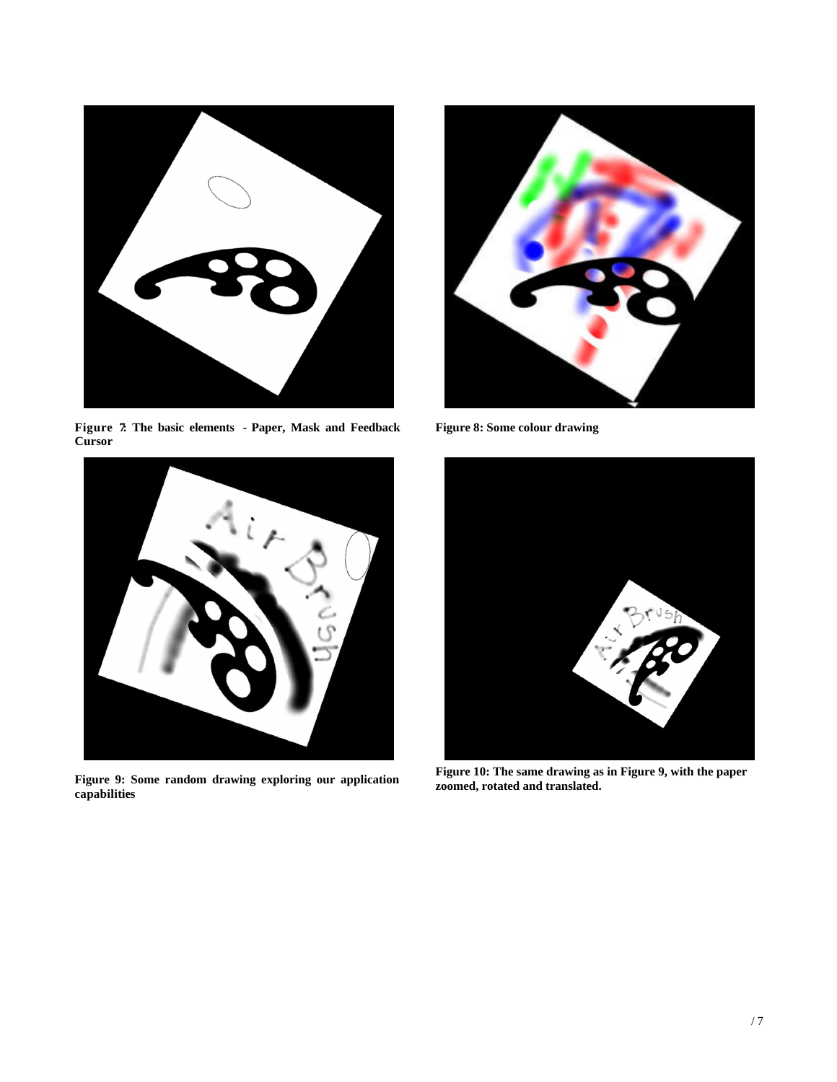

**Figure 7: The basic elements - Paper, Mask and Feedback Cursor**



**Figure 9: Some random drawing exploring our application capabilities**



**Figure 8: Some colour drawing** 



**Figure 10: The same drawing as in Figure 9, with the paper zoomed, rotated and translated.**